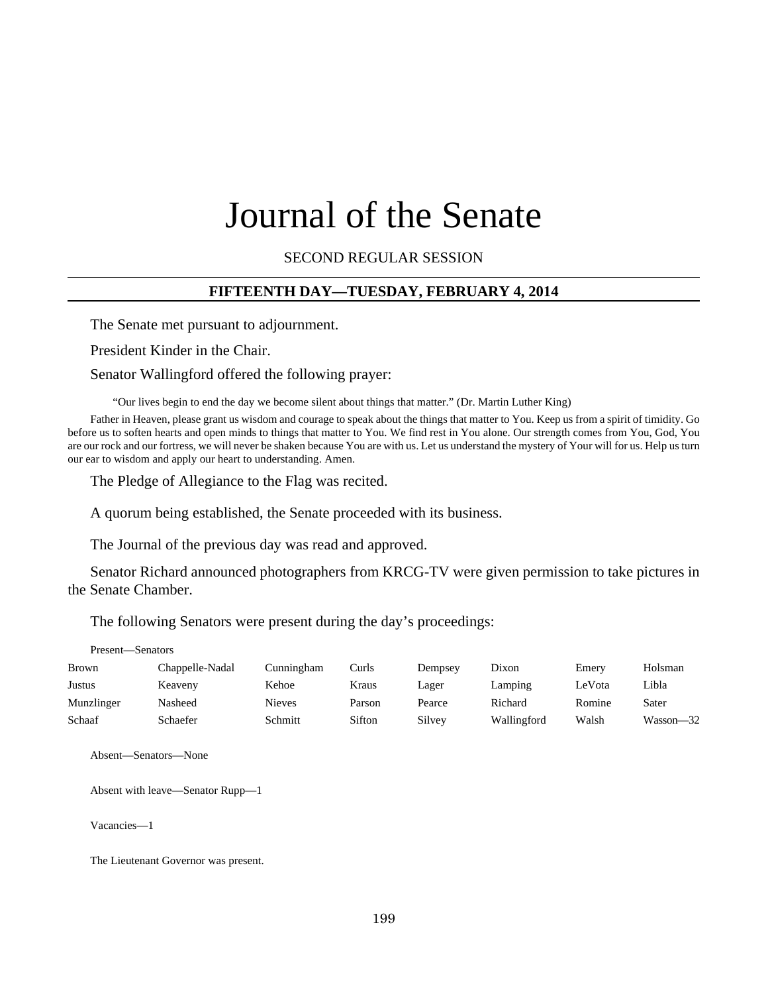# Journal of the Senate

SECOND REGULAR SESSION

#### **FIFTEENTH DAY—TUESDAY, FEBRUARY 4, 2014**

The Senate met pursuant to adjournment.

President Kinder in the Chair.

#### Senator Wallingford offered the following prayer:

"Our lives begin to end the day we become silent about things that matter." (Dr. Martin Luther King)

Father in Heaven, please grant us wisdom and courage to speak about the things that matter to You. Keep us from a spirit of timidity. Go before us to soften hearts and open minds to things that matter to You. We find rest in You alone. Our strength comes from You, God, You are our rock and our fortress, we will never be shaken because You are with us. Let us understand the mystery of Your will for us. Help us turn our ear to wisdom and apply our heart to understanding. Amen.

The Pledge of Allegiance to the Flag was recited.

A quorum being established, the Senate proceeded with its business.

The Journal of the previous day was read and approved.

Senator Richard announced photographers from KRCG-TV were given permission to take pictures in the Senate Chamber.

The following Senators were present during the day's proceedings:

| Present—Senators |                 |               |        |         |             |        |           |
|------------------|-----------------|---------------|--------|---------|-------------|--------|-----------|
| <b>Brown</b>     | Chappelle-Nadal | Cunningham    | Curls  | Dempsey | Dixon       | Emery  | Holsman   |
| Justus           | Keaveny         | Kehoe         | Kraus  | Lager   | Lamping     | LeVota | Libla     |
| Munzlinger       | Nasheed         | <b>Nieves</b> | Parson | Pearce  | Richard     | Romine | Sater     |
| Schaaf           | Schaefer        | Schmitt       | Sifton | Silvey  | Wallingford | Walsh  | Wasson-32 |

Absent—Senators—None

Absent with leave—Senator Rupp—1

Vacancies—1

The Lieutenant Governor was present.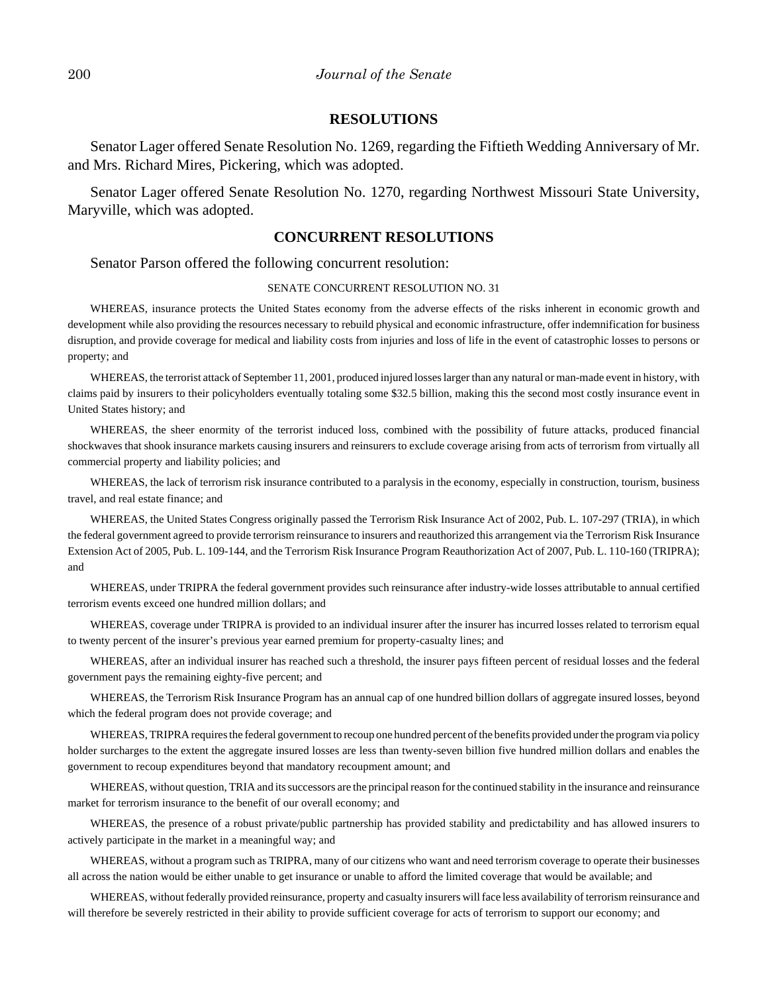#### **RESOLUTIONS**

Senator Lager offered Senate Resolution No. 1269, regarding the Fiftieth Wedding Anniversary of Mr. and Mrs. Richard Mires, Pickering, which was adopted.

Senator Lager offered Senate Resolution No. 1270, regarding Northwest Missouri State University, Maryville, which was adopted.

# **CONCURRENT RESOLUTIONS**

Senator Parson offered the following concurrent resolution:

#### SENATE CONCURRENT RESOLUTION NO. 31

WHEREAS, insurance protects the United States economy from the adverse effects of the risks inherent in economic growth and development while also providing the resources necessary to rebuild physical and economic infrastructure, offer indemnification for business disruption, and provide coverage for medical and liability costs from injuries and loss of life in the event of catastrophic losses to persons or property; and

WHEREAS, the terrorist attack of September 11, 2001, produced injured losses larger than any natural or man-made event in history, with claims paid by insurers to their policyholders eventually totaling some \$32.5 billion, making this the second most costly insurance event in United States history; and

WHEREAS, the sheer enormity of the terrorist induced loss, combined with the possibility of future attacks, produced financial shockwaves that shook insurance markets causing insurers and reinsurers to exclude coverage arising from acts of terrorism from virtually all commercial property and liability policies; and

WHEREAS, the lack of terrorism risk insurance contributed to a paralysis in the economy, especially in construction, tourism, business travel, and real estate finance; and

WHEREAS, the United States Congress originally passed the Terrorism Risk Insurance Act of 2002, Pub. L. 107-297 (TRIA), in which the federal government agreed to provide terrorism reinsurance to insurers and reauthorized this arrangement via the Terrorism Risk Insurance Extension Act of 2005, Pub. L. 109-144, and the Terrorism Risk Insurance Program Reauthorization Act of 2007, Pub. L. 110-160 (TRIPRA); and

WHEREAS, under TRIPRA the federal government provides such reinsurance after industry-wide losses attributable to annual certified terrorism events exceed one hundred million dollars; and

WHEREAS, coverage under TRIPRA is provided to an individual insurer after the insurer has incurred losses related to terrorism equal to twenty percent of the insurer's previous year earned premium for property-casualty lines; and

WHEREAS, after an individual insurer has reached such a threshold, the insurer pays fifteen percent of residual losses and the federal government pays the remaining eighty-five percent; and

WHEREAS, the Terrorism Risk Insurance Program has an annual cap of one hundred billion dollars of aggregate insured losses, beyond which the federal program does not provide coverage; and

WHEREAS, TRIPRA requires the federal government to recoup one hundred percent of the benefits provided under the program via policy holder surcharges to the extent the aggregate insured losses are less than twenty-seven billion five hundred million dollars and enables the government to recoup expenditures beyond that mandatory recoupment amount; and

WHEREAS, without question, TRIA and its successors are the principal reason for the continued stability in the insurance and reinsurance market for terrorism insurance to the benefit of our overall economy; and

WHEREAS, the presence of a robust private/public partnership has provided stability and predictability and has allowed insurers to actively participate in the market in a meaningful way; and

WHEREAS, without a program such as TRIPRA, many of our citizens who want and need terrorism coverage to operate their businesses all across the nation would be either unable to get insurance or unable to afford the limited coverage that would be available; and

WHEREAS, without federally provided reinsurance, property and casualty insurers will face less availability of terrorism reinsurance and will therefore be severely restricted in their ability to provide sufficient coverage for acts of terrorism to support our economy; and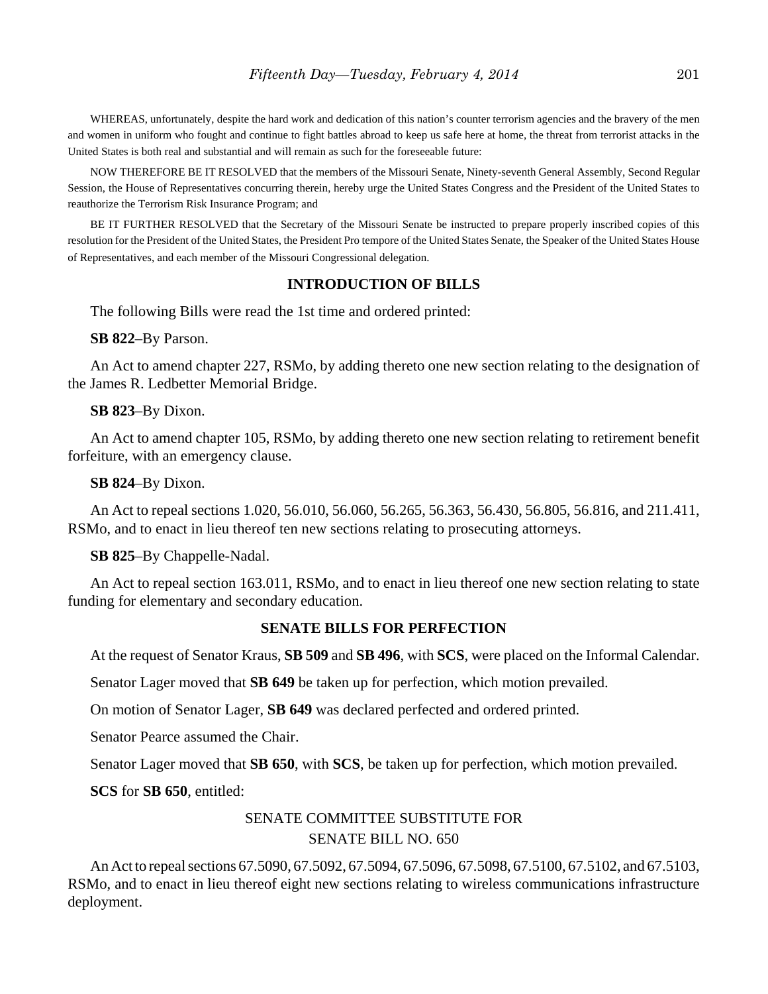WHEREAS, unfortunately, despite the hard work and dedication of this nation's counter terrorism agencies and the bravery of the men and women in uniform who fought and continue to fight battles abroad to keep us safe here at home, the threat from terrorist attacks in the United States is both real and substantial and will remain as such for the foreseeable future:

NOW THEREFORE BE IT RESOLVED that the members of the Missouri Senate, Ninety-seventh General Assembly, Second Regular Session, the House of Representatives concurring therein, hereby urge the United States Congress and the President of the United States to reauthorize the Terrorism Risk Insurance Program; and

BE IT FURTHER RESOLVED that the Secretary of the Missouri Senate be instructed to prepare properly inscribed copies of this resolution for the President of the United States, the President Pro tempore of the United States Senate, the Speaker of the United States House of Representatives, and each member of the Missouri Congressional delegation.

#### **INTRODUCTION OF BILLS**

The following Bills were read the 1st time and ordered printed:

#### **SB 822**–By Parson.

An Act to amend chapter 227, RSMo, by adding thereto one new section relating to the designation of the James R. Ledbetter Memorial Bridge.

#### **SB 823**–By Dixon.

An Act to amend chapter 105, RSMo, by adding thereto one new section relating to retirement benefit forfeiture, with an emergency clause.

#### **SB 824**–By Dixon.

An Act to repeal sections 1.020, 56.010, 56.060, 56.265, 56.363, 56.430, 56.805, 56.816, and 211.411, RSMo, and to enact in lieu thereof ten new sections relating to prosecuting attorneys.

#### **SB 825**–By Chappelle-Nadal.

An Act to repeal section 163.011, RSMo, and to enact in lieu thereof one new section relating to state funding for elementary and secondary education.

#### **SENATE BILLS FOR PERFECTION**

At the request of Senator Kraus, **SB 509** and **SB 496**, with **SCS**, were placed on the Informal Calendar.

Senator Lager moved that **SB 649** be taken up for perfection, which motion prevailed.

On motion of Senator Lager, **SB 649** was declared perfected and ordered printed.

Senator Pearce assumed the Chair.

Senator Lager moved that **SB 650**, with **SCS**, be taken up for perfection, which motion prevailed.

**SCS** for **SB 650**, entitled:

# SENATE COMMITTEE SUBSTITUTE FOR SENATE BILL NO. 650

An Act to repeal sections 67.5090, 67.5092, 67.5094, 67.5096, 67.5098, 67.5100, 67.5102, and 67.5103, RSMo, and to enact in lieu thereof eight new sections relating to wireless communications infrastructure deployment.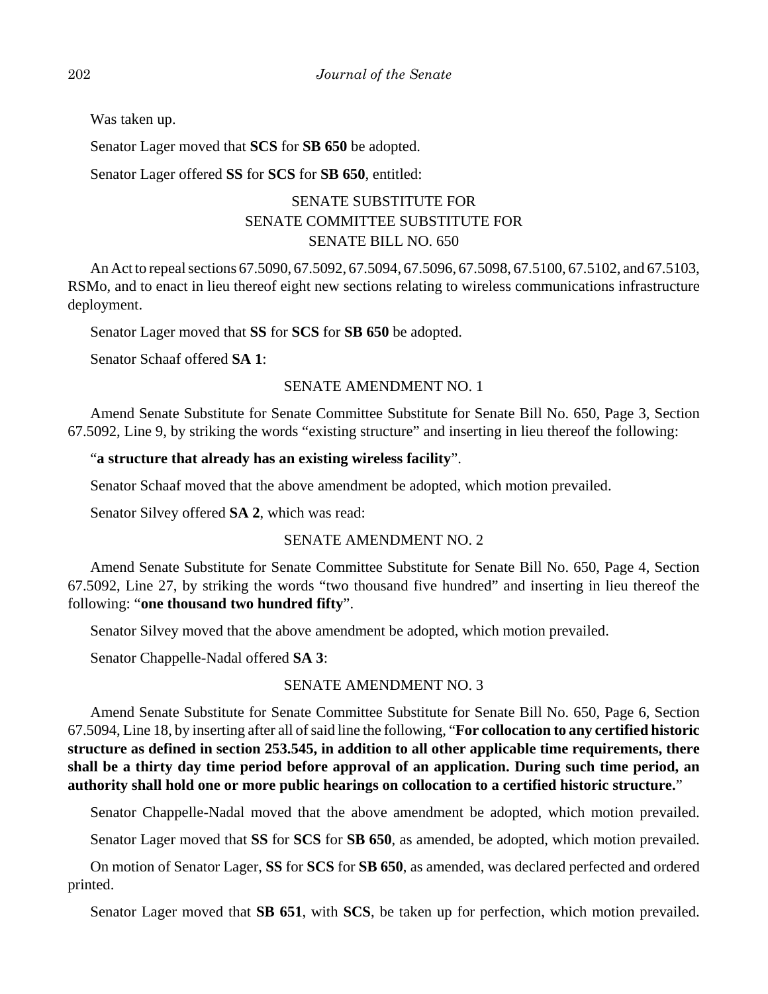Was taken up.

Senator Lager moved that **SCS** for **SB 650** be adopted.

Senator Lager offered **SS** for **SCS** for **SB 650**, entitled:

# SENATE SUBSTITUTE FOR SENATE COMMITTEE SUBSTITUTE FOR SENATE BILL NO. 650

An Act to repeal sections 67.5090, 67.5092, 67.5094, 67.5096, 67.5098, 67.5100, 67.5102, and 67.5103, RSMo, and to enact in lieu thereof eight new sections relating to wireless communications infrastructure deployment.

Senator Lager moved that **SS** for **SCS** for **SB 650** be adopted.

Senator Schaaf offered **SA 1**:

# SENATE AMENDMENT NO. 1

Amend Senate Substitute for Senate Committee Substitute for Senate Bill No. 650, Page 3, Section 67.5092, Line 9, by striking the words "existing structure" and inserting in lieu thereof the following:

# "**a structure that already has an existing wireless facility**".

Senator Schaaf moved that the above amendment be adopted, which motion prevailed.

Senator Silvey offered **SA 2**, which was read:

# SENATE AMENDMENT NO. 2

Amend Senate Substitute for Senate Committee Substitute for Senate Bill No. 650, Page 4, Section 67.5092, Line 27, by striking the words "two thousand five hundred" and inserting in lieu thereof the following: "**one thousand two hundred fifty**".

Senator Silvey moved that the above amendment be adopted, which motion prevailed.

Senator Chappelle-Nadal offered **SA 3**:

# SENATE AMENDMENT NO. 3

Amend Senate Substitute for Senate Committee Substitute for Senate Bill No. 650, Page 6, Section 67.5094, Line 18, by inserting after all of said line the following, "**For collocation to any certified historic structure as defined in section 253.545, in addition to all other applicable time requirements, there shall be a thirty day time period before approval of an application. During such time period, an authority shall hold one or more public hearings on collocation to a certified historic structure.**"

Senator Chappelle-Nadal moved that the above amendment be adopted, which motion prevailed.

Senator Lager moved that **SS** for **SCS** for **SB 650**, as amended, be adopted, which motion prevailed.

On motion of Senator Lager, **SS** for **SCS** for **SB 650**, as amended, was declared perfected and ordered printed.

Senator Lager moved that **SB 651**, with **SCS**, be taken up for perfection, which motion prevailed.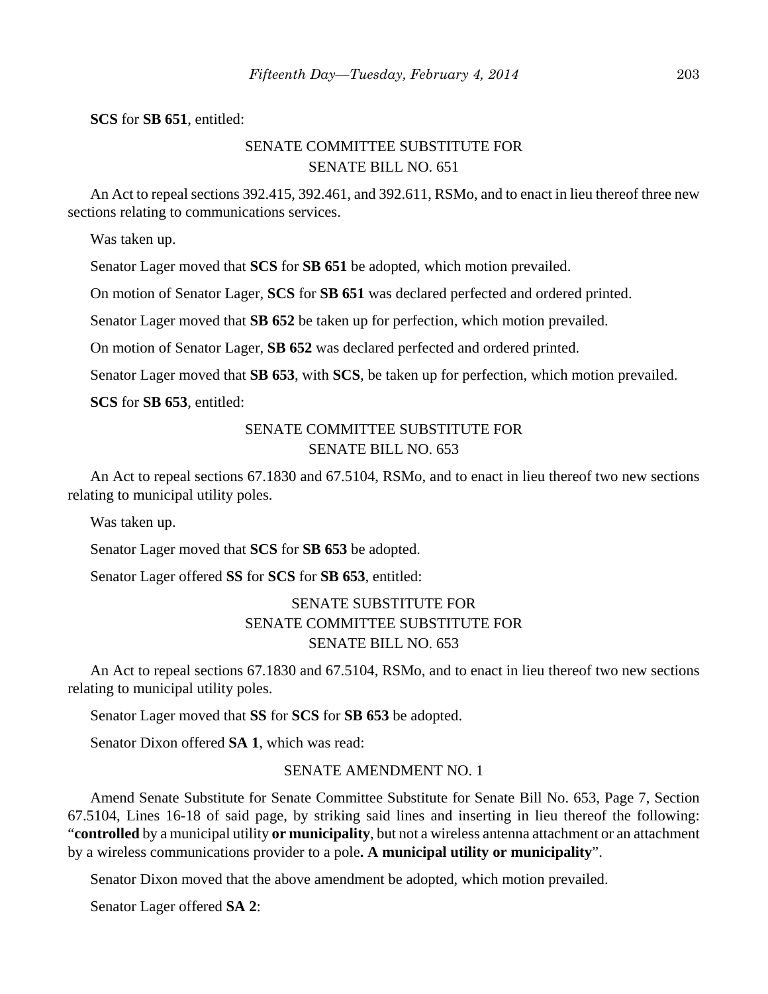**SCS** for **SB 651**, entitled:

# SENATE COMMITTEE SUBSTITUTE FOR SENATE BILL NO. 651

An Act to repeal sections 392.415, 392.461, and 392.611, RSMo, and to enact in lieu thereof three new sections relating to communications services.

Was taken up.

Senator Lager moved that **SCS** for **SB 651** be adopted, which motion prevailed.

On motion of Senator Lager, **SCS** for **SB 651** was declared perfected and ordered printed.

Senator Lager moved that **SB 652** be taken up for perfection, which motion prevailed.

On motion of Senator Lager, **SB 652** was declared perfected and ordered printed.

Senator Lager moved that **SB 653**, with **SCS**, be taken up for perfection, which motion prevailed.

**SCS** for **SB 653**, entitled:

# SENATE COMMITTEE SUBSTITUTE FOR SENATE BILL NO. 653

An Act to repeal sections 67.1830 and 67.5104, RSMo, and to enact in lieu thereof two new sections relating to municipal utility poles.

Was taken up.

Senator Lager moved that **SCS** for **SB 653** be adopted.

Senator Lager offered **SS** for **SCS** for **SB 653**, entitled:

# SENATE SUBSTITUTE FOR SENATE COMMITTEE SUBSTITUTE FOR SENATE BILL NO. 653

An Act to repeal sections 67.1830 and 67.5104, RSMo, and to enact in lieu thereof two new sections relating to municipal utility poles.

Senator Lager moved that **SS** for **SCS** for **SB 653** be adopted.

Senator Dixon offered **SA 1**, which was read:

#### SENATE AMENDMENT NO. 1

Amend Senate Substitute for Senate Committee Substitute for Senate Bill No. 653, Page 7, Section 67.5104, Lines 16-18 of said page, by striking said lines and inserting in lieu thereof the following: "**controlled** by a municipal utility **or municipality**, but not a wireless antenna attachment or an attachment by a wireless communications provider to a pole**. A municipal utility or municipality**".

Senator Dixon moved that the above amendment be adopted, which motion prevailed.

Senator Lager offered **SA 2**: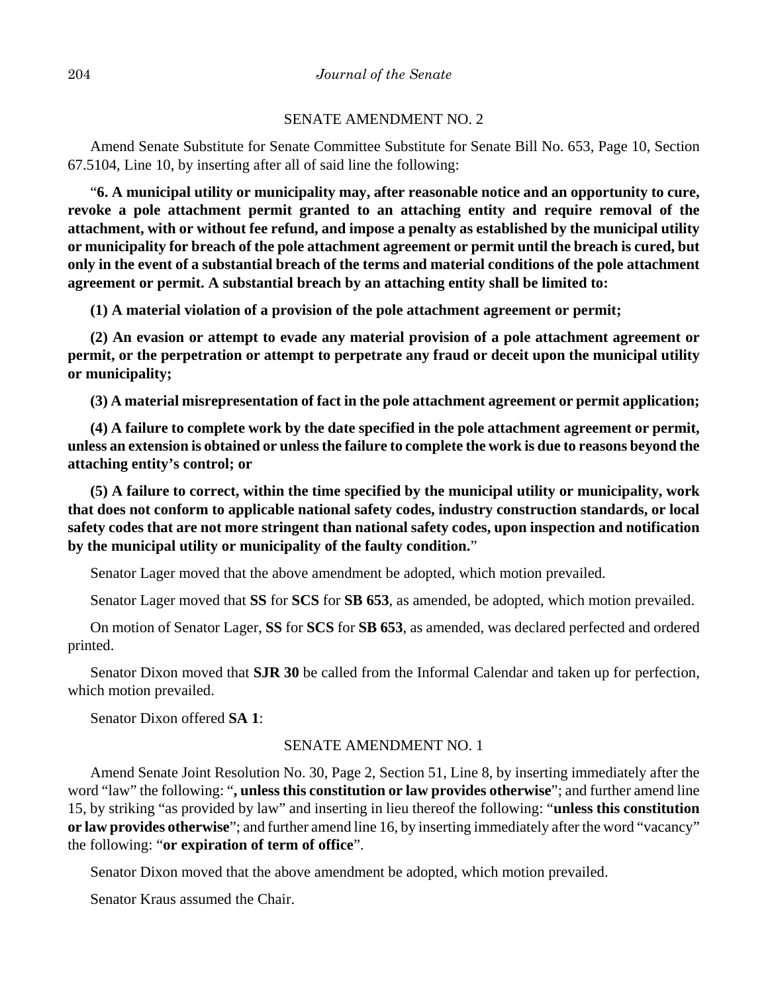#### SENATE AMENDMENT NO. 2

Amend Senate Substitute for Senate Committee Substitute for Senate Bill No. 653, Page 10, Section 67.5104, Line 10, by inserting after all of said line the following:

"**6. A municipal utility or municipality may, after reasonable notice and an opportunity to cure, revoke a pole attachment permit granted to an attaching entity and require removal of the attachment, with or without fee refund, and impose a penalty as established by the municipal utility or municipality for breach of the pole attachment agreement or permit until the breach is cured, but only in the event of a substantial breach of the terms and material conditions of the pole attachment agreement or permit. A substantial breach by an attaching entity shall be limited to:**

**(1) A material violation of a provision of the pole attachment agreement or permit;**

**(2) An evasion or attempt to evade any material provision of a pole attachment agreement or permit, or the perpetration or attempt to perpetrate any fraud or deceit upon the municipal utility or municipality;**

**(3) A material misrepresentation of fact in the pole attachment agreement or permit application;**

**(4) A failure to complete work by the date specified in the pole attachment agreement or permit, unless an extension is obtained or unless the failure to complete the work is due to reasons beyond the attaching entity's control; or**

**(5) A failure to correct, within the time specified by the municipal utility or municipality, work that does not conform to applicable national safety codes, industry construction standards, or local safety codes that are not more stringent than national safety codes, upon inspection and notification by the municipal utility or municipality of the faulty condition.**"

Senator Lager moved that the above amendment be adopted, which motion prevailed.

Senator Lager moved that **SS** for **SCS** for **SB 653**, as amended, be adopted, which motion prevailed.

On motion of Senator Lager, **SS** for **SCS** for **SB 653**, as amended, was declared perfected and ordered printed.

Senator Dixon moved that **SJR 30** be called from the Informal Calendar and taken up for perfection, which motion prevailed.

Senator Dixon offered **SA 1**:

### SENATE AMENDMENT NO. 1

Amend Senate Joint Resolution No. 30, Page 2, Section 51, Line 8, by inserting immediately after the word "law" the following: "**, unless this constitution or law provides otherwise**"; and further amend line 15, by striking "as provided by law" and inserting in lieu thereof the following: "**unless this constitution or law provides otherwise**"; and further amend line 16, by inserting immediately after the word "vacancy" the following: "**or expiration of term of office**".

Senator Dixon moved that the above amendment be adopted, which motion prevailed.

Senator Kraus assumed the Chair.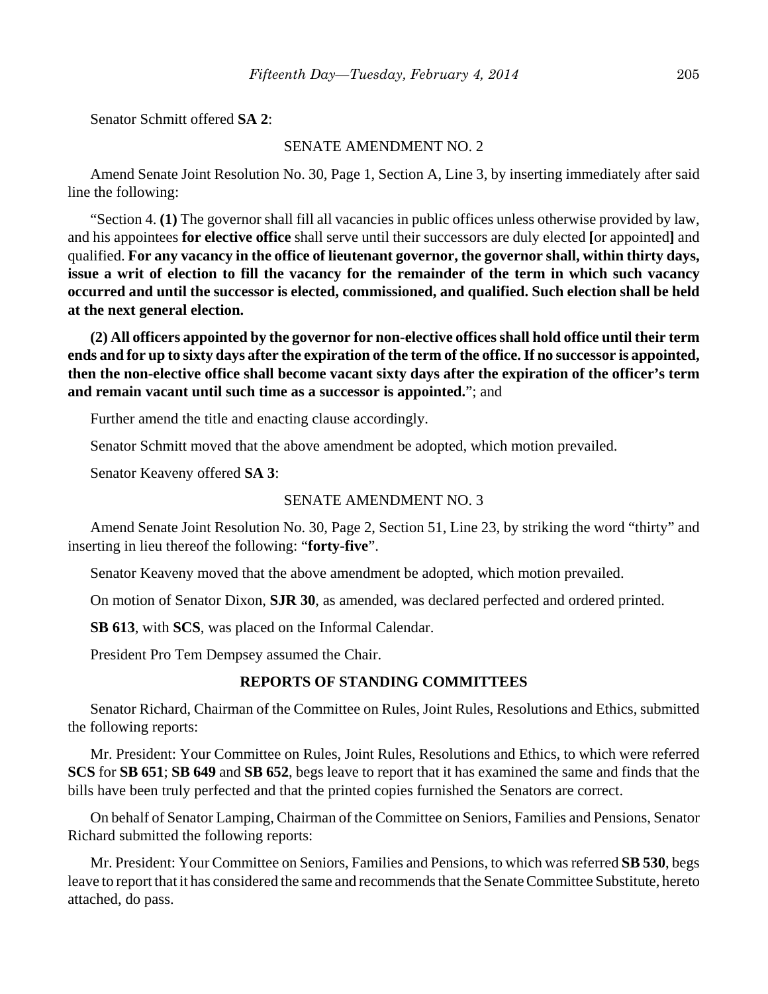Senator Schmitt offered **SA 2**:

#### SENATE AMENDMENT NO. 2

Amend Senate Joint Resolution No. 30, Page 1, Section A, Line 3, by inserting immediately after said line the following:

"Section 4. **(1)** The governor shall fill all vacancies in public offices unless otherwise provided by law, and his appointees **for elective office** shall serve until their successors are duly elected **[**or appointed**]** and qualified. **For any vacancy in the office of lieutenant governor, the governor shall, within thirty days, issue a writ of election to fill the vacancy for the remainder of the term in which such vacancy occurred and until the successor is elected, commissioned, and qualified. Such election shall be held at the next general election.**

**(2) All officers appointed by the governor for non-elective offices shall hold office until their term ends and for up to sixty days after the expiration of the term of the office. If no successor is appointed, then the non-elective office shall become vacant sixty days after the expiration of the officer's term and remain vacant until such time as a successor is appointed.**"; and

Further amend the title and enacting clause accordingly.

Senator Schmitt moved that the above amendment be adopted, which motion prevailed.

Senator Keaveny offered **SA 3**:

#### SENATE AMENDMENT NO. 3

Amend Senate Joint Resolution No. 30, Page 2, Section 51, Line 23, by striking the word "thirty" and inserting in lieu thereof the following: "**forty-five**".

Senator Keaveny moved that the above amendment be adopted, which motion prevailed.

On motion of Senator Dixon, **SJR 30**, as amended, was declared perfected and ordered printed.

**SB 613**, with **SCS**, was placed on the Informal Calendar.

President Pro Tem Dempsey assumed the Chair.

## **REPORTS OF STANDING COMMITTEES**

Senator Richard, Chairman of the Committee on Rules, Joint Rules, Resolutions and Ethics, submitted the following reports:

Mr. President: Your Committee on Rules, Joint Rules, Resolutions and Ethics, to which were referred **SCS** for **SB 651**; **SB 649** and **SB 652**, begs leave to report that it has examined the same and finds that the bills have been truly perfected and that the printed copies furnished the Senators are correct.

On behalf of Senator Lamping, Chairman of the Committee on Seniors, Families and Pensions, Senator Richard submitted the following reports:

Mr. President: Your Committee on Seniors, Families and Pensions, to which was referred **SB 530**, begs leave to report that it has considered the same and recommends that the Senate Committee Substitute, hereto attached, do pass.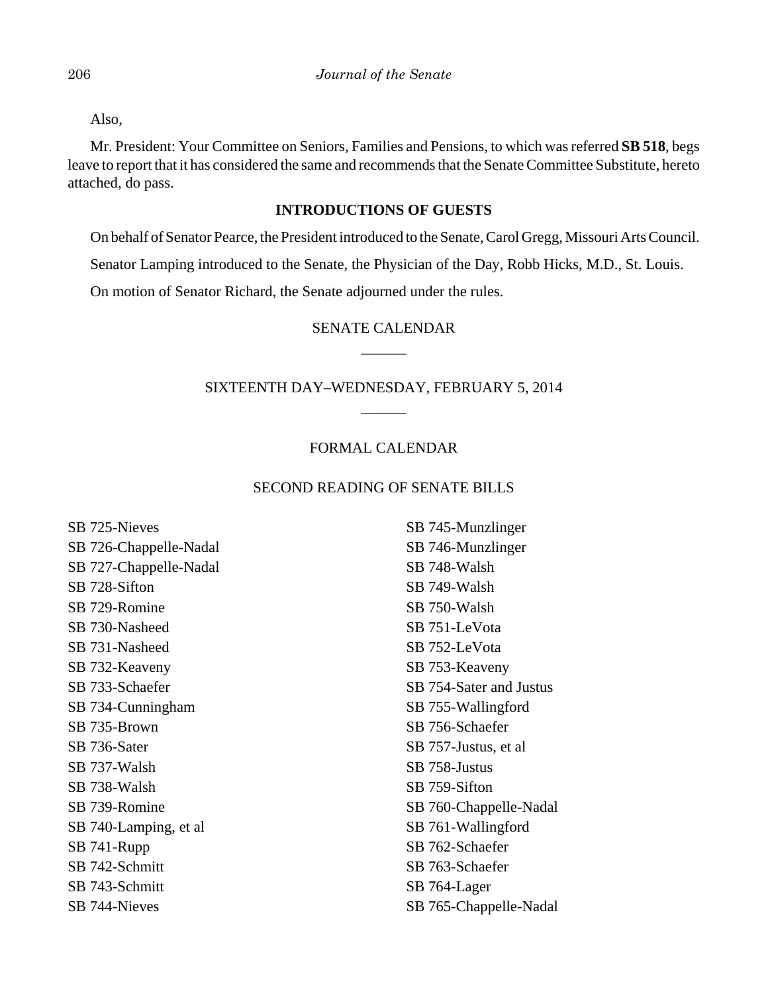Also,

Mr. President: Your Committee on Seniors, Families and Pensions, to which was referred **SB 518**, begs leave to report that it has considered the same and recommends that the Senate Committee Substitute, hereto attached, do pass.

## **INTRODUCTIONS OF GUESTS**

On behalf of Senator Pearce, the President introduced to the Senate, Carol Gregg, Missouri Arts Council.

Senator Lamping introduced to the Senate, the Physician of the Day, Robb Hicks, M.D., St. Louis.

On motion of Senator Richard, the Senate adjourned under the rules.

# SENATE CALENDAR  $\overline{\phantom{a}}$

# SIXTEENTH DAY–WEDNESDAY, FEBRUARY 5, 2014  $\overline{\phantom{a}}$

## FORMAL CALENDAR

#### SECOND READING OF SENATE BILLS

SB 725-Nieves SB 726-Chappelle-Nadal SB 727-Chappelle-Nadal SB 728-Sifton SB 729-Romine SB 730-Nasheed SB 731-Nasheed SB 732-Keaveny SB 733-Schaefer SB 734-Cunningham SB 735-Brown SB 736-Sater SB 737-Walsh SB 738-Walsh SB 739-Romine SB 740-Lamping, et al SB 741-Rupp SB 742-Schmitt SB 743-Schmitt SB 744-Nieves

SB 745-Munzlinger SB 746-Munzlinger SB 748-Walsh SB 749-Walsh SB 750-Walsh SB 751-LeVota SB 752-LeVota SB 753-Keaveny SB 754-Sater and Justus SB 755-Wallingford SB 756-Schaefer SB 757-Justus, et al SB 758-Justus SB 759-Sifton SB 760-Chappelle-Nadal SB 761-Wallingford SB 762-Schaefer SB 763-Schaefer SB 764-Lager SB 765-Chappelle-Nadal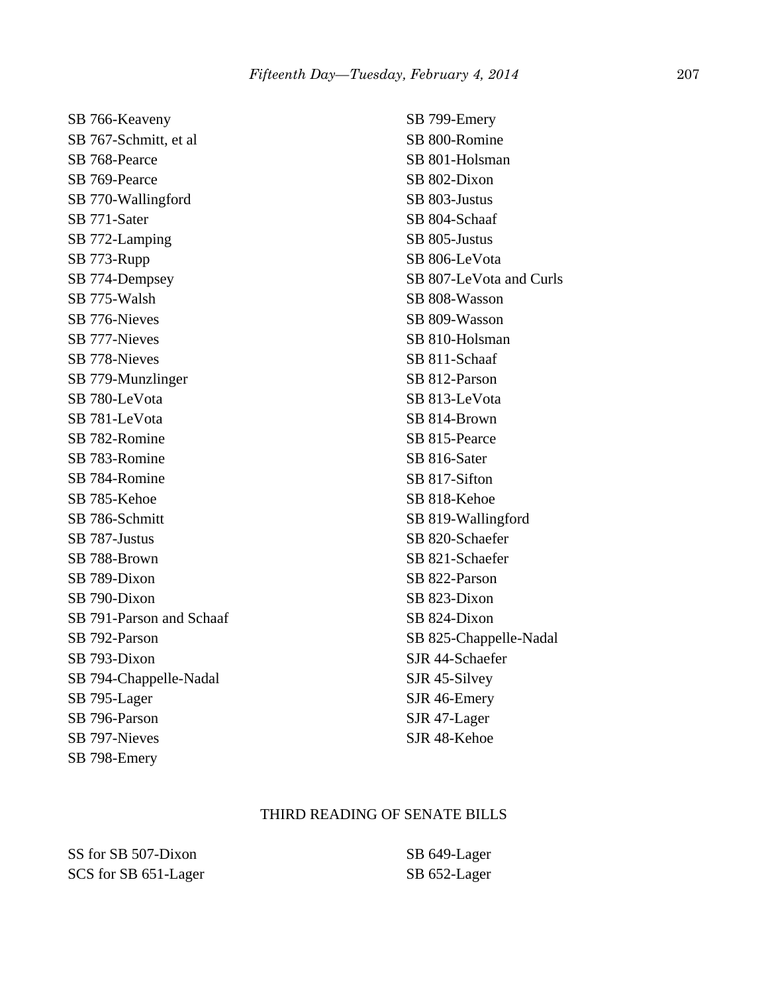SB 766-Keaveny SB 767-Schmitt, et al SB 768-Pearce SB 769-Pearce SB 770-Wallingford SB 771-Sater SB 772-Lamping SB 773-Rupp SB 774-Dempsey SB 775-Walsh SB 776-Nieves SB 777-Nieves SB 778-Nieves SB 779-Munzlinger SB 780-LeVota SB 781-LeVota SB 782-Romine SB 783-Romine SB 784-Romine SB 785-Kehoe SB 786-Schmitt SB 787-Justus SB 788-Brown SB 789-Dixon SB 790-Dixon SB 791-Parson and Schaaf SB 792-Parson SB 793-Dixon SB 794-Chappelle-Nadal SB 795-Lager SB 796-Parson SB 797-Nieves SB 798-Emery

SB 799-Emery SB 800-Romine SB 801-Holsman SB 802-Dixon SB 803-Justus SB 804-Schaaf SB 805-Justus SB 806-LeVota SB 807-LeVota and Curls SB 808-Wasson SB 809-Wasson SB 810-Holsman SB 811-Schaaf SB 812-Parson SB 813-LeVota SB 814-Brown SB 815-Pearce SB 816-Sater SB 817-Sifton SB 818-Kehoe SB 819-Wallingford SB 820-Schaefer SB 821-Schaefer SB 822-Parson SB 823-Dixon SB 824-Dixon SB 825-Chappelle-Nadal SJR 44-Schaefer SJR 45-Silvey SJR 46-Emery SJR 47-Lager SJR 48-Kehoe

#### THIRD READING OF SENATE BILLS

SS for SB 507-Dixon SCS for SB 651-Lager SB 649-Lager SB 652-Lager